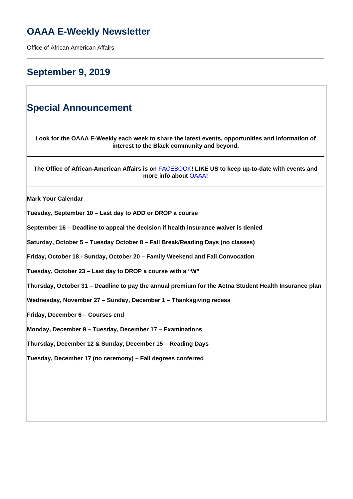## **OAAA E-Weekly Newsletter**

Office of African American Affairs

### **September 9, 2019**

### **Special Announcement**

**Look for the OAAA E-Weekly each week to share the latest events, opportunities and information of interest to the Black community and beyond.**

**The Office of African-American Affairs is on** [FACEBOOK](https://www.facebook.com/OfficeofAfricanAmericanAffairs)**! LIKE US to keep up-to-date with events and more info about** OAAA**!**

**Mark Your Calendar** 

**Tuesday, September 10 – Last day to ADD or DROP a course**

**September 16 – Deadline to appeal the decision if health insurance waiver is denied**

**Saturday, October 5 – Tuesday October 8 – Fall Break/Reading Days (no classes)** 

**Friday, October 18 - Sunday, October 20 – Family Weekend and Fall Convocation**

**Tuesday, October 23 – Last day to DROP a course with a "W"**

**Thursday, October 31 – Deadline to pay the annual premium for the Aetna Student Health Insurance plan**

**Wednesday, November 27 – Sunday, December 1 – Thanksgiving recess**

**Friday, December 6 – Courses end**

**Monday, December 9 – Tuesday, December 17 – Examinations**

**Thursday, December 12 & Sunday, December 15 – Reading Days**

**Tuesday, December 17 (no ceremony) – Fall degrees conferred**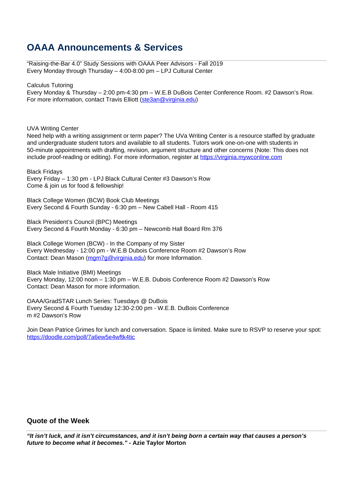### **OAAA Announcements & Services**

"Raising-the-Bar 4.0" Study Sessions with OAAA Peer Advisors - Fall 2019 Every Monday through Thursday – 4:00-8:00 pm – LPJ Cultural Center

Calculus Tutoring

Every Monday & Thursday – 2:00 pm-4:30 pm – W.E.B DuBois Center Conference Room. #2 Dawson's Row. For more information, contact Travis Elliott (ste3an@virginia.edu)

UVA Writing Center

Need help with a writing assignment or term paper? The UVa Writing Center is a resource staffed by graduate and undergraduate student tutors and available to all students. Tutors work one-on-one with students in 50-minute appointments with drafting, revision, argument structure and other concerns (Note: This does not include proof-reading or editing). For more information, register at https://virginia.mywconline.com

Black Fridays Every Friday – 1:30 pm - LPJ Black Cultural Center #3 Dawson's Row Come & join us for food & fellowship!

Black College Women (BCW) Book Club Meetings Every Second & Fourth Sunday - 6:30 pm – New Cabell Hall - Room 415

Black President's Council (BPC) Meetings Every Second & Fourth Monday - 6:30 pm – Newcomb Hall Board Rm 376

Black College Women (BCW) - In the Company of my Sister Every Wednesday - 12:00 pm - W.E.B Dubois Conference Room #2 Dawson's Row Contact: Dean Mason (mgm7g@virginia.edu) for more Information.

Black Male Initiative (BMI) Meetings Every Monday, 12:00 noon – 1:30 pm – W.E.B. Dubois Conference Room #2 Dawson's Row Contact: Dean Mason for more information.

OAAA/GradSTAR Lunch Series: Tuesdays @ DuBois Every Second & Fourth Tuesday 12:30-2:00 pm - W.E.B. DuBois Conference m #2 Dawson's Row

Join Dean Patrice Grimes for lunch and conversation. Space is limited. Make sure to RSVP to reserve your spot: https://doodle.com/poll/7a6ew5e4wftk4tic

### **Quote of the Week**

**"It isn't luck, and it isn't circumstances, and it isn't being born a certain way that causes a person's future to become what it becomes." - Azie Taylor Morton**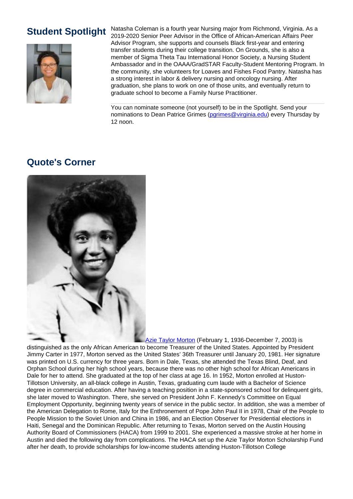

**Student Spotlight** Natasha Coleman is a fourth year Nursing major from Richmond, Virginia. As a 2019-2020 Senior Peer Advisor in the Office of African-American Affairs Peer Advisor Program, she supports and counsels Black first-year and entering transfer students during their college transition. On Grounds, she is also a member of Sigma Theta Tau International Honor Society, a Nursing Student Ambassador and in the OAAA/GradSTAR Faculty-Student Mentoring Program. In the community, she volunteers for Loaves and Fishes Food Pantry. Natasha has a strong interest in labor & delivery nursing and oncology nursing. After graduation, she plans to work on one of those units, and eventually return to graduate school to become a Family Nurse Practitioner.

> You can nominate someone (not yourself) to be in the Spotlight. Send your nominations to Dean Patrice Grimes (parimes@virginia.edu) every Thursday by 12 noon.

### **Quote's Corner**



Azie Taylor Morton (February 1, 1936-December 7, 2003) is

distinguished as the only African American to become Treasurer of the United States. Appointed by President Jimmy Carter in 1977, Morton served as the United States' 36th Treasurer until January 20, 1981. Her signature was printed on U.S. currency for three years. Born in Dale, Texas, she attended the Texas Blind, Deaf, and Orphan School during her high school years, because there was no other high school for African Americans in Dale for her to attend. She graduated at the top of her class at age 16. In 1952, Morton enrolled at Huston-Tillotson University, an all-black college in Austin, Texas, graduating cum laude with a Bachelor of Science degree in commercial education. After having a teaching position in a state-sponsored school for delinquent girls, she later moved to Washington. There, she served on President John F. Kennedy's Committee on Equal Employment Opportunity, beginning twenty years of service in the public sector. In addition, she was a member of the American Delegation to Rome, Italy for the Enthronement of Pope John Paul II in 1978, Chair of the People to People Mission to the Soviet Union and China in 1986, and an Election Observer for Presidential elections in Haiti, Senegal and the Dominican Republic. After returning to Texas, Morton served on the Austin Housing Authority Board of Commissioners (HACA) from 1999 to 2001. She experienced a massive stroke at her home in Austin and died the following day from complications. The HACA set up the Azie Taylor Morton Scholarship Fund after her death, to provide scholarships for low-income students attending Huston-Tillotson College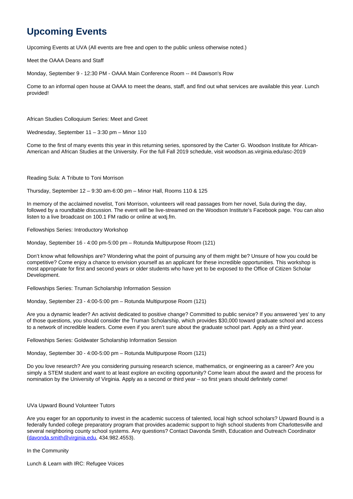# **Upcoming Events**

Upcoming Events at UVA (All events are free and open to the public unless otherwise noted.)

Meet the OAAA Deans and Staff

Monday, September 9 - 12:30 PM - OAAA Main Conference Room -- #4 Dawson's Row

Come to an informal open house at OAAA to meet the deans, staff, and find out what services are available this year. Lunch provided!

African Studies Colloquium Series: Meet and Greet

Wednesday, September 11 – 3:30 pm – Minor 110

Come to the first of many events this year in this returning series, sponsored by the Carter G. Woodson Institute for African-American and African Studies at the University. For the full Fall 2019 schedule, visit woodson.as.virginia.edu/asc-2019

Reading Sula: A Tribute to Toni Morrison

Thursday, September 12 – 9:30 am-6:00 pm – Minor Hall, Rooms 110 & 125

In memory of the acclaimed novelist, Toni Morrison, volunteers will read passages from her novel, Sula during the day, followed by a roundtable discussion. The event will be live-streamed on the Woodson Institute's Facebook page. You can also listen to a live broadcast on 100.1 FM radio or online at wxtj.fm.

Fellowships Series: Introductory Workshop

Monday, September 16 - 4:00 pm-5:00 pm – Rotunda Multipurpose Room (121)

Don't know what fellowships are? Wondering what the point of pursuing any of them might be? Unsure of how you could be competitive? Come enjoy a chance to envision yourself as an applicant for these incredible opportunities. This workshop is most appropriate for first and second years or older students who have yet to be exposed to the Office of Citizen Scholar Development.

Fellowships Series: Truman Scholarship Information Session

Monday, September 23 - 4:00-5:00 pm – Rotunda Multipurpose Room (121)

Are you a dynamic leader? An activist dedicated to positive change? Committed to public service? If you answered 'yes' to any of those questions, you should consider the Truman Scholarship, which provides \$30,000 toward graduate school and access to a network of incredible leaders. Come even if you aren't sure about the graduate school part. Apply as a third year.

Fellowships Series: Goldwater Scholarship Information Session

Monday, September 30 - 4:00-5:00 pm – Rotunda Multipurpose Room (121)

Do you love research? Are you considering pursuing research science, mathematics, or engineering as a career? Are you simply a STEM student and want to at least explore an exciting opportunity? Come learn about the award and the process for nomination by the University of Virginia. Apply as a second or third year – so first years should definitely come!

UVa Upward Bound Volunteer Tutors

Are you eager for an opportunity to invest in the academic success of talented, local high school scholars? Upward Bound is a federally funded college preparatory program that provides academic support to high school students from Charlottesville and several neighboring county school systems. Any questions? Contact Davonda Smith, Education and Outreach Coordinator (davonda.smith@virginia.edu, 434.982.4553).

In the Community

Lunch & Learn with IRC: Refugee Voices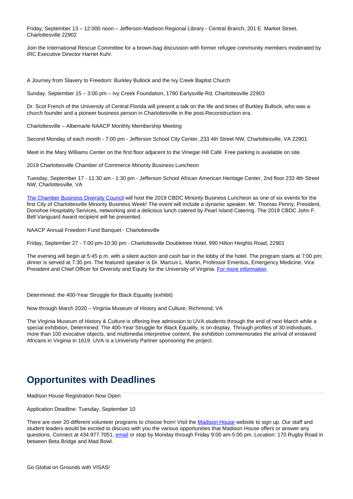Friday, September 13 – 12:000 noon – Jefferson-Madison Regional Library - Central Branch, 201 E. Market Street, Charlottesville 22902

Join the International Rescue Committee for a brown-bag discussion with former refugee community members moderated by IRC Executive Director Harriet Kuhr.

A Journey from Slavery to Freedom: Burkley Bullock and the Ivy Creek Baptist Church

Sunday, September 15 – 3:00 pm – Ivy Creek Foundation, 1780 Earlysville Rd, Charlottesville 22903

Dr. Scot French of the University of Central Florida will present a talk on the life and times of Burkley Bullock, who was a church founder and a pioneer business person in Charlottesville in the post-Reconstruction era.

Charlottesville – Albemarle NAACP Monthly Membership Meeting

Second Monday of each month - 7:00 pm - Jefferson School City Center, 233 4th Street NW, Charlottesville, VA 22901

Meet in the Mary Williams Center on the first floor adjacent to the Vinegar Hill Café. Free parking is available on site.

2019 Charlottesville Chamber of Commerce Minority Business Luncheon

Tuesday, September 17 - 11:30 am - 1:30 pm - Jefferson School African American Heritage Center, 2nd floor 233 4th Street NW, Charlottesville, VA

The Chamber Business Diversity Council will host the 2019 CBDC Minority Business Luncheon as one of six events for the first City of Charlottesville Minority Business Week! The event will include a dynamic speaker, Mr. Thomas Penny, President, Donohoe Hospitality Services, networking and a delicious lunch catered by Pearl Island Catering. The 2019 CBDC John F. Bell Vanguard Award recipient will be presented.

NAACP Annual Freedom Fund Banquet - Charlottesville

Friday, September 27 - 7:00 pm-10:30 pm - Charlottesville Doubletree Hotel, 990 Hilton Heights Road, 22901

The evening will begin at 5:45 p.m. with a silent auction and cash bar in the lobby of the hotel. The program starts at 7:00 pm; dinner is served at 7:30 pm. The featured speaker is Dr. Marcus L. Martin, Professor Emeritus, Emergency Medicine, Vice President and Chief Officer for Diversity and Equity for the University of Virginia. For more information.

Determined: the 400-Year Struggle for Black Equality (exhibit)

Now through March 2020 – Virginia Museum of History and Culture, Richmond, VA

The Virginia Museum of History & Culture is offering free admission to UVA students through the end of next March while a special exhibition, Determined: The 400-Year Struggle for Black Equality, is on display. Through profiles of 30 individuals, more than 100 evocative objects, and multimedia interpretive content, the exhibition commemorates the arrival of enslaved Africans in Virginia in 1619. UVA is a University Partner sponsoring the project.

### **Opportunites with Deadlines**

Madison House Registration Now Open

Application Deadline: Tuesday, September 10

There are over 20 different volunteer programs to choose from! Visit the Madison House website to sign up. Our staff and student leaders would be excited to discuss with you the various opportunities that Madison House offers or answer any questions. Connect at 434.977.7051, email or stop by Monday through Friday 9:00 am-5:00 pm. Location: 170 Rugby Road in between Beta Bridge and Mad Bowl.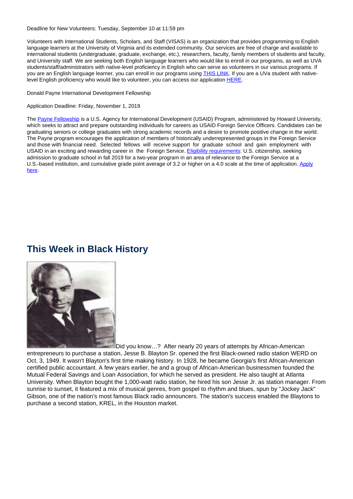Deadline for New Volunteers: Tuesday, September 10 at 11:59 pm

Volunteers with International Students, Scholars, and Staff (VISAS) is an organization that provides programming to English language learners at the University of Virginia and its extended community. Our services are free of charge and available to international students (undergraduate, graduate, exchange, etc.), researchers, faculty, family members of students and faculty, and University staff. We are seeking both English language learners who would like to enroll in our programs, as well as UVA students/staff/administrators with native-level proficiency in English who can serve as volunteers in our various programs. If you are an English language learner, you can enroll in our programs using THIS LINK. If you are a UVa student with nativelevel English proficiency who would like to volunteer, you can access our application HERE.

Donald Payne International Development Fellowship

Application Deadline: Friday, November 1, 2019

The Payne Fellowship is a U.S. Agency for International Development (USAID) Program, administered by Howard University, which seeks to attract and prepare outstanding individuals for careers as USAID Foreign Service Officers. Candidates can be graduating seniors or college graduates with strong academic records and a desire to promote positive change in the world. The Payne program encourages the application of members of historically underrepresented groups in the Foreign Service and those with financial need. Selected fellows will receive support for graduate school and gain employment with USAID in an exciting and rewarding career in the Foreign Service. Eligibility requirements: U.S. citizenship, seeking admission to graduate school in fall 2019 for a two-year program in an area of relevance to the Foreign Service at a U.S.-based institution, and cumulative grade point average of 3.2 or higher on a 4.0 scale at the time of application. Apply here.

### **This Week in Black History**



Did you know…? After nearly 20 years of attempts by African-American entrepreneurs to purchase a station, Jesse B. Blayton Sr. opened the first Black-owned radio station WERD on Oct. 3, 1949. It wasn't Blayton's first time making history. In 1928, he became Georgia's first African-American certified public accountant. A few years earlier, he and a group of African-American businessmen founded the Mutual Federal Savings and Loan Association, for which he served as president. He also taught at Atlanta University. When Blayton bought the 1,000-watt radio station, he hired his son Jesse Jr. as station manager. From sunrise to sunset, it featured a mix of musical genres, from gospel to rhythm and blues, spun by "Jockey Jack" Gibson, one of the nation's most famous Black radio announcers. The station's success enabled the Blaytons to purchase a second station, KREL, in the Houston market.